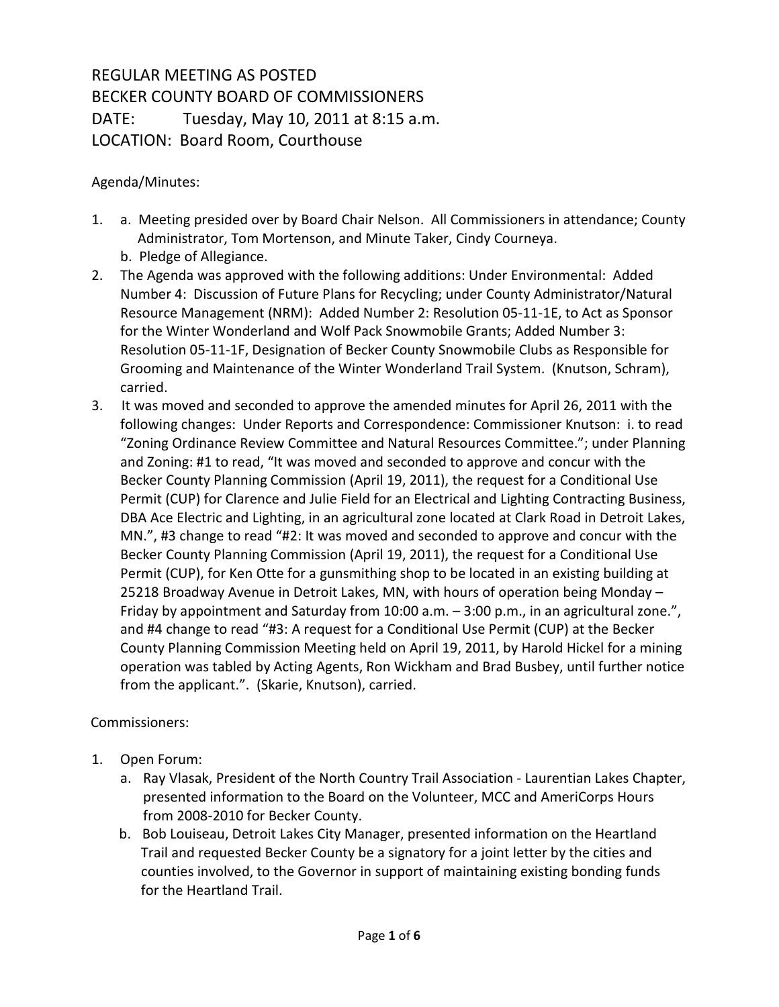## REGULAR MEETING AS POSTED BECKER COUNTY BOARD OF COMMISSIONERS DATE: Tuesday, May 10, 2011 at 8:15 a.m. LOCATION: Board Room, Courthouse

Agenda/Minutes:

- 1. a. Meeting presided over by Board Chair Nelson. All Commissioners in attendance; County Administrator, Tom Mortenson, and Minute Taker, Cindy Courneya.
	- b. Pledge of Allegiance.
- 2. The Agenda was approved with the following additions: Under Environmental: Added Number 4: Discussion of Future Plans for Recycling; under County Administrator/Natural Resource Management (NRM): Added Number 2: Resolution 05-11-1E, to Act as Sponsor for the Winter Wonderland and Wolf Pack Snowmobile Grants; Added Number 3: Resolution 05-11-1F, Designation of Becker County Snowmobile Clubs as Responsible for Grooming and Maintenance of the Winter Wonderland Trail System. (Knutson, Schram), carried.
- 3. It was moved and seconded to approve the amended minutes for April 26, 2011 with the following changes: Under Reports and Correspondence: Commissioner Knutson: i. to read "Zoning Ordinance Review Committee and Natural Resources Committee."; under Planning and Zoning: #1 to read, "It was moved and seconded to approve and concur with the Becker County Planning Commission (April 19, 2011), the request for a Conditional Use Permit (CUP) for Clarence and Julie Field for an Electrical and Lighting Contracting Business, DBA Ace Electric and Lighting, in an agricultural zone located at Clark Road in Detroit Lakes, MN.", #3 change to read "#2: It was moved and seconded to approve and concur with the Becker County Planning Commission (April 19, 2011), the request for a Conditional Use Permit (CUP), for Ken Otte for a gunsmithing shop to be located in an existing building at 25218 Broadway Avenue in Detroit Lakes, MN, with hours of operation being Monday – Friday by appointment and Saturday from 10:00 a.m. – 3:00 p.m., in an agricultural zone.", and #4 change to read "#3: A request for a Conditional Use Permit (CUP) at the Becker County Planning Commission Meeting held on April 19, 2011, by Harold Hickel for a mining operation was tabled by Acting Agents, Ron Wickham and Brad Busbey, until further notice from the applicant.". (Skarie, Knutson), carried.

Commissioners:

- 1. Open Forum:
	- a. Ray Vlasak, President of the North Country Trail Association Laurentian Lakes Chapter, presented information to the Board on the Volunteer, MCC and AmeriCorps Hours from 2008-2010 for Becker County.
	- b. Bob Louiseau, Detroit Lakes City Manager, presented information on the Heartland Trail and requested Becker County be a signatory for a joint letter by the cities and counties involved, to the Governor in support of maintaining existing bonding funds for the Heartland Trail.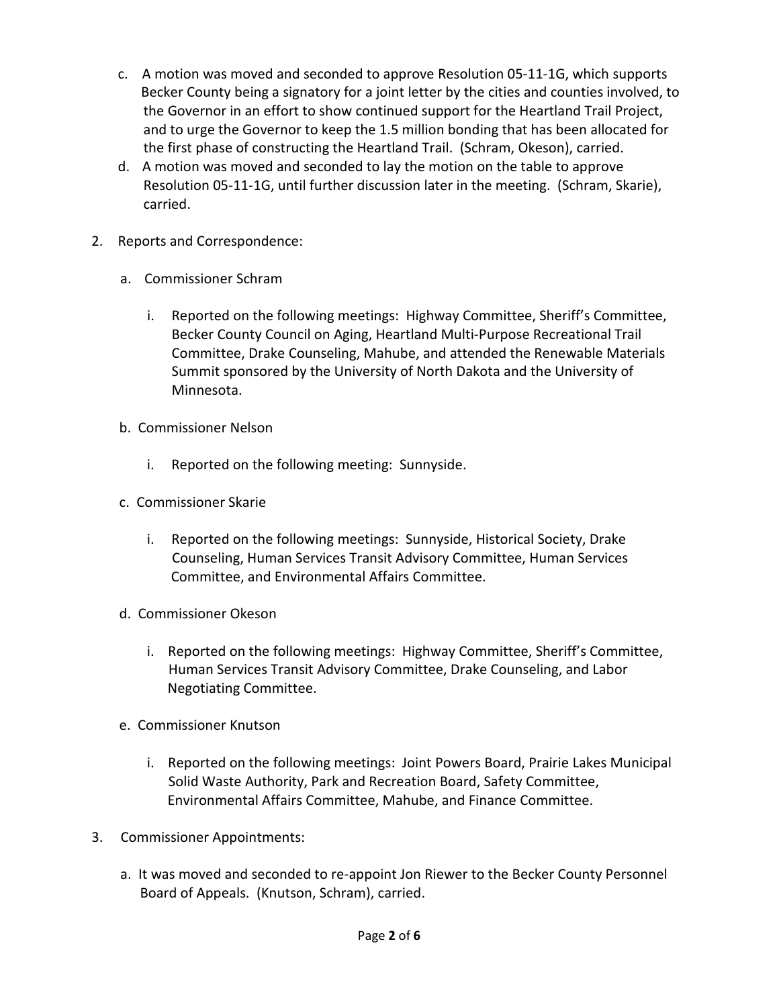- c. A motion was moved and seconded to approve Resolution 05-11-1G, which supports Becker County being a signatory for a joint letter by the cities and counties involved, to the Governor in an effort to show continued support for the Heartland Trail Project, and to urge the Governor to keep the 1.5 million bonding that has been allocated for the first phase of constructing the Heartland Trail. (Schram, Okeson), carried.
- d. A motion was moved and seconded to lay the motion on the table to approve Resolution 05-11-1G, until further discussion later in the meeting. (Schram, Skarie), carried.
- 2. Reports and Correspondence:
	- a. Commissioner Schram
		- i. Reported on the following meetings: Highway Committee, Sheriff's Committee, Becker County Council on Aging, Heartland Multi-Purpose Recreational Trail Committee, Drake Counseling, Mahube, and attended the Renewable Materials Summit sponsored by the University of North Dakota and the University of Minnesota.
	- b. Commissioner Nelson
		- i. Reported on the following meeting: Sunnyside.
	- c. Commissioner Skarie
		- i. Reported on the following meetings: Sunnyside, Historical Society, Drake Counseling, Human Services Transit Advisory Committee, Human Services Committee, and Environmental Affairs Committee.
	- d. Commissioner Okeson
		- i. Reported on the following meetings: Highway Committee, Sheriff's Committee, Human Services Transit Advisory Committee, Drake Counseling, and Labor Negotiating Committee.
	- e. Commissioner Knutson
		- i. Reported on the following meetings: Joint Powers Board, Prairie Lakes Municipal Solid Waste Authority, Park and Recreation Board, Safety Committee, Environmental Affairs Committee, Mahube, and Finance Committee.
- 3. Commissioner Appointments:
	- a. It was moved and seconded to re-appoint Jon Riewer to the Becker County Personnel Board of Appeals. (Knutson, Schram), carried.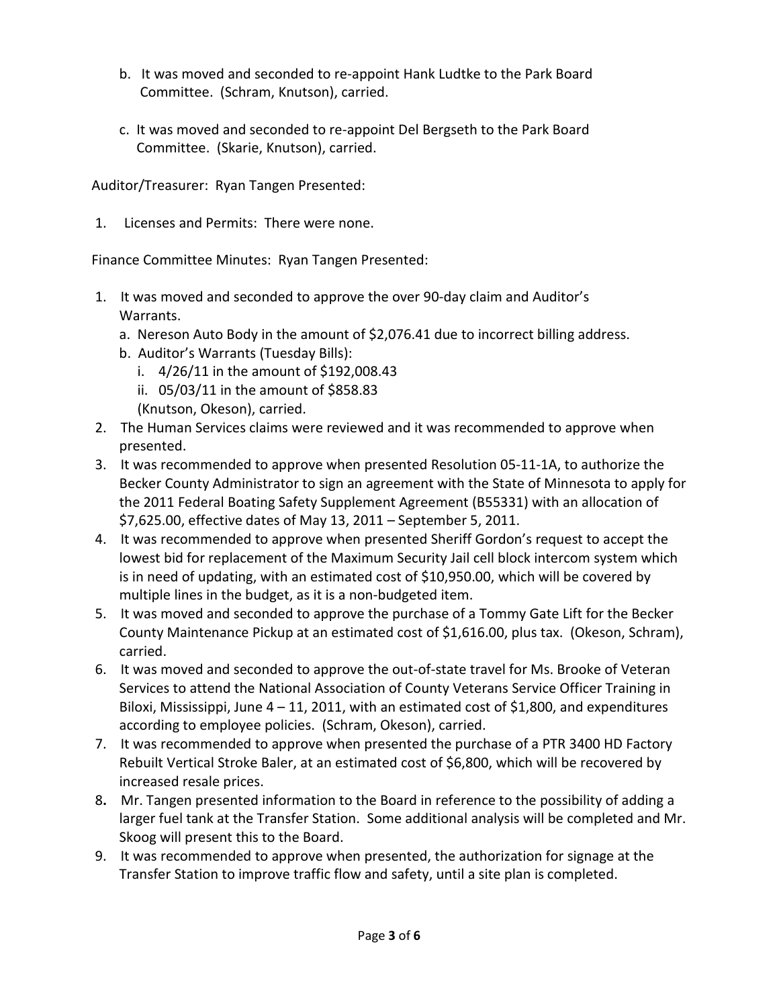- b. It was moved and seconded to re-appoint Hank Ludtke to the Park Board Committee. (Schram, Knutson), carried.
- c. It was moved and seconded to re-appoint Del Bergseth to the Park Board Committee. (Skarie, Knutson), carried.

Auditor/Treasurer: Ryan Tangen Presented:

1. Licenses and Permits: There were none.

Finance Committee Minutes: Ryan Tangen Presented:

- 1. It was moved and seconded to approve the over 90-day claim and Auditor's Warrants.
	- a. Nereson Auto Body in the amount of \$2,076.41 due to incorrect billing address.
	- b. Auditor's Warrants (Tuesday Bills):
		- i. 4/26/11 in the amount of \$192,008.43
		- ii. 05/03/11 in the amount of \$858.83
		- (Knutson, Okeson), carried.
- 2. The Human Services claims were reviewed and it was recommended to approve when presented.
- 3. It was recommended to approve when presented Resolution 05-11-1A, to authorize the Becker County Administrator to sign an agreement with the State of Minnesota to apply for the 2011 Federal Boating Safety Supplement Agreement (B55331) with an allocation of \$7,625.00, effective dates of May 13, 2011 – September 5, 2011.
- 4. It was recommended to approve when presented Sheriff Gordon's request to accept the lowest bid for replacement of the Maximum Security Jail cell block intercom system which is in need of updating, with an estimated cost of \$10,950.00, which will be covered by multiple lines in the budget, as it is a non-budgeted item.
- 5. It was moved and seconded to approve the purchase of a Tommy Gate Lift for the Becker County Maintenance Pickup at an estimated cost of \$1,616.00, plus tax. (Okeson, Schram), carried.
- 6. It was moved and seconded to approve the out-of-state travel for Ms. Brooke of Veteran Services to attend the National Association of County Veterans Service Officer Training in Biloxi, Mississippi, June  $4 - 11$ , 2011, with an estimated cost of \$1,800, and expenditures according to employee policies. (Schram, Okeson), carried.
- 7. It was recommended to approve when presented the purchase of a PTR 3400 HD Factory Rebuilt Vertical Stroke Baler, at an estimated cost of \$6,800, which will be recovered by increased resale prices.
- 8**.** Mr. Tangen presented information to the Board in reference to the possibility of adding a larger fuel tank at the Transfer Station. Some additional analysis will be completed and Mr. Skoog will present this to the Board.
- 9. It was recommended to approve when presented, the authorization for signage at the Transfer Station to improve traffic flow and safety, until a site plan is completed.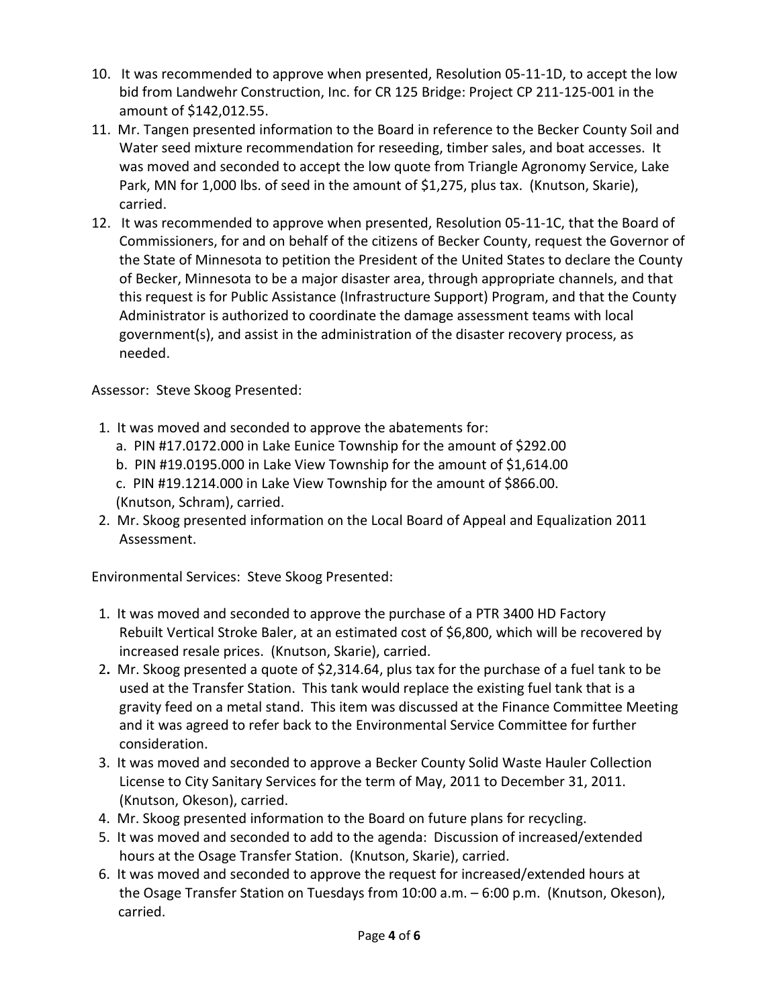- 10. It was recommended to approve when presented, Resolution 05-11-1D, to accept the low bid from Landwehr Construction, Inc. for CR 125 Bridge: Project CP 211-125-001 in the amount of \$142,012.55.
- 11. Mr. Tangen presented information to the Board in reference to the Becker County Soil and Water seed mixture recommendation for reseeding, timber sales, and boat accesses. It was moved and seconded to accept the low quote from Triangle Agronomy Service, Lake Park, MN for 1,000 lbs. of seed in the amount of \$1,275, plus tax. (Knutson, Skarie), carried.
- 12. It was recommended to approve when presented, Resolution 05-11-1C, that the Board of Commissioners, for and on behalf of the citizens of Becker County, request the Governor of the State of Minnesota to petition the President of the United States to declare the County of Becker, Minnesota to be a major disaster area, through appropriate channels, and that this request is for Public Assistance (Infrastructure Support) Program, and that the County Administrator is authorized to coordinate the damage assessment teams with local government(s), and assist in the administration of the disaster recovery process, as needed.

Assessor: Steve Skoog Presented:

- 1. It was moved and seconded to approve the abatements for:
	- a. PIN #17.0172.000 in Lake Eunice Township for the amount of \$292.00
	- b. PIN #19.0195.000 in Lake View Township for the amount of \$1,614.00
	- c. PIN #19.1214.000 in Lake View Township for the amount of \$866.00.

(Knutson, Schram), carried.

 2. Mr. Skoog presented information on the Local Board of Appeal and Equalization 2011 Assessment.

Environmental Services: Steve Skoog Presented:

- 1. It was moved and seconded to approve the purchase of a PTR 3400 HD Factory Rebuilt Vertical Stroke Baler, at an estimated cost of \$6,800, which will be recovered by increased resale prices. (Knutson, Skarie), carried.
- 2**.** Mr. Skoog presented a quote of \$2,314.64, plus tax for the purchase of a fuel tank to be used at the Transfer Station. This tank would replace the existing fuel tank that is a gravity feed on a metal stand. This item was discussed at the Finance Committee Meeting and it was agreed to refer back to the Environmental Service Committee for further consideration.
- 3. It was moved and seconded to approve a Becker County Solid Waste Hauler Collection License to City Sanitary Services for the term of May, 2011 to December 31, 2011. (Knutson, Okeson), carried.
- 4. Mr. Skoog presented information to the Board on future plans for recycling.
- 5. It was moved and seconded to add to the agenda: Discussion of increased/extended hours at the Osage Transfer Station. (Knutson, Skarie), carried.
- 6. It was moved and seconded to approve the request for increased/extended hours at the Osage Transfer Station on Tuesdays from 10:00 a.m. – 6:00 p.m. (Knutson, Okeson), carried.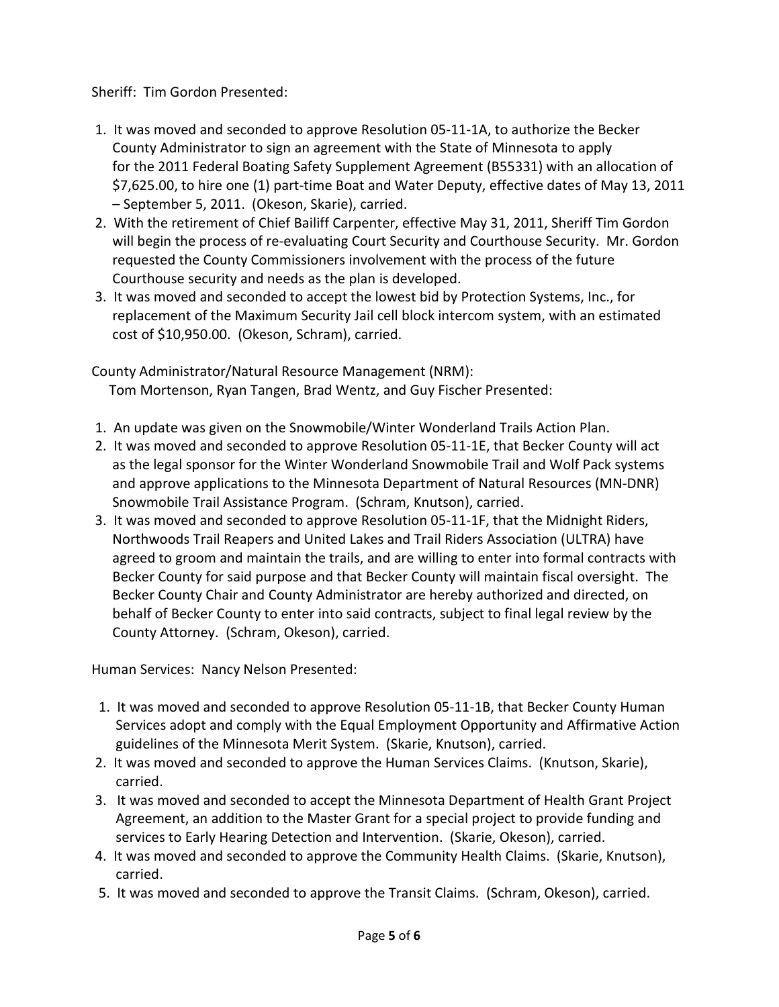Sheriff: Tim Gordon Presented:

- 1. It was moved and seconded to approve Resolution 05-11-1A, to authorize the Becker County Administrator to sign an agreement with the State of Minnesota to apply for the 2011 Federal Boating Safety Supplement Agreement (B55331) with an allocation of \$7,625.00, to hire one (1) part-time Boat and Water Deputy, effective dates of May 13, 2011 – September 5, 2011. (Okeson, Skarie), carried.
- 2. With the retirement of Chief Bailiff Carpenter, effective May 31, 2011, Sheriff Tim Gordon will begin the process of re-evaluating Court Security and Courthouse Security. Mr. Gordon requested the County Commissioners involvement with the process of the future Courthouse security and needs as the plan is developed.
- 3. It was moved and seconded to accept the lowest bid by Protection Systems, Inc., for replacement of the Maximum Security Jail cell block intercom system, with an estimated cost of \$10,950.00. (Okeson, Schram), carried.

County Administrator/Natural Resource Management (NRM): Tom Mortenson, Ryan Tangen, Brad Wentz, and Guy Fischer Presented:

- 1. An update was given on the Snowmobile/Winter Wonderland Trails Action Plan.
- 2. It was moved and seconded to approve Resolution 05-11-1E, that Becker County will act as the legal sponsor for the Winter Wonderland Snowmobile Trail and Wolf Pack systems and approve applications to the Minnesota Department of Natural Resources (MN-DNR) Snowmobile Trail Assistance Program. (Schram, Knutson), carried.
- 3. It was moved and seconded to approve Resolution 05-11-1F, that the Midnight Riders, Northwoods Trail Reapers and United Lakes and Trail Riders Association (ULTRA) have agreed to groom and maintain the trails, and are willing to enter into formal contracts with Becker County for said purpose and that Becker County will maintain fiscal oversight. The Becker County Chair and County Administrator are hereby authorized and directed, on behalf of Becker County to enter into said contracts, subject to final legal review by the County Attorney. (Schram, Okeson), carried.

Human Services: Nancy Nelson Presented:

- 1. It was moved and seconded to approve Resolution 05-11-1B, that Becker County Human Services adopt and comply with the Equal Employment Opportunity and Affirmative Action guidelines of the Minnesota Merit System. (Skarie, Knutson), carried.
- 2. It was moved and seconded to approve the Human Services Claims. (Knutson, Skarie), carried.
- 3. It was moved and seconded to accept the Minnesota Department of Health Grant Project Agreement, an addition to the Master Grant for a special project to provide funding and services to Early Hearing Detection and Intervention. (Skarie, Okeson), carried.
- 4. It was moved and seconded to approve the Community Health Claims. (Skarie, Knutson), carried.
- 5. It was moved and seconded to approve the Transit Claims. (Schram, Okeson), carried.